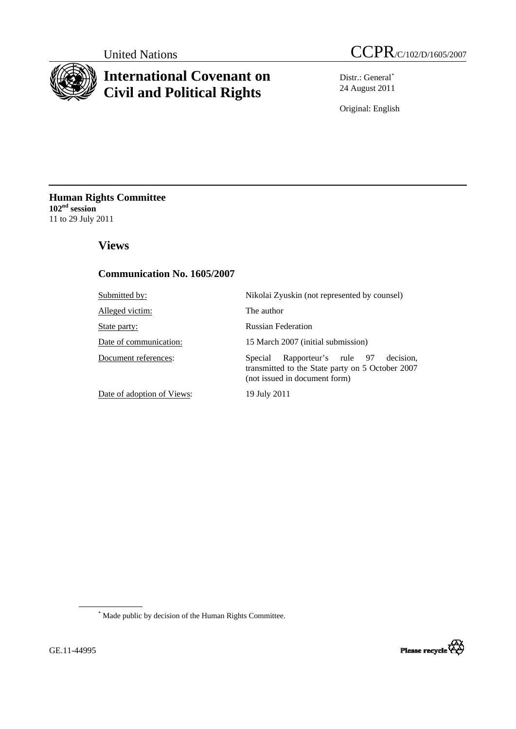

# **International Covenant on Civil and Political Rights**

United Nations CCPR/C/102/D/1605/2007

Distr.: General[\\*](#page-0-0) 24 August 2011

Original: English

**Human Rights Committee 102nd session** 11 to 29 July 2011

# **Views**

# **Communication No. 1605/2007**

| Submitted by:              | Nikolai Zyuskin (not represented by counsel)                                                                                      |
|----------------------------|-----------------------------------------------------------------------------------------------------------------------------------|
| Alleged victim:            | The author                                                                                                                        |
| State party:               | <b>Russian Federation</b>                                                                                                         |
| Date of communication:     | 15 March 2007 (initial submission)                                                                                                |
| Document references:       | Rapporteur's rule 97<br>decision.<br>Special<br>transmitted to the State party on 5 October 2007<br>(not issued in document form) |
| Date of adoption of Views: | 19 July 2011                                                                                                                      |

<span id="page-0-0"></span>\* Made public by decision of the Human Rights Committee.

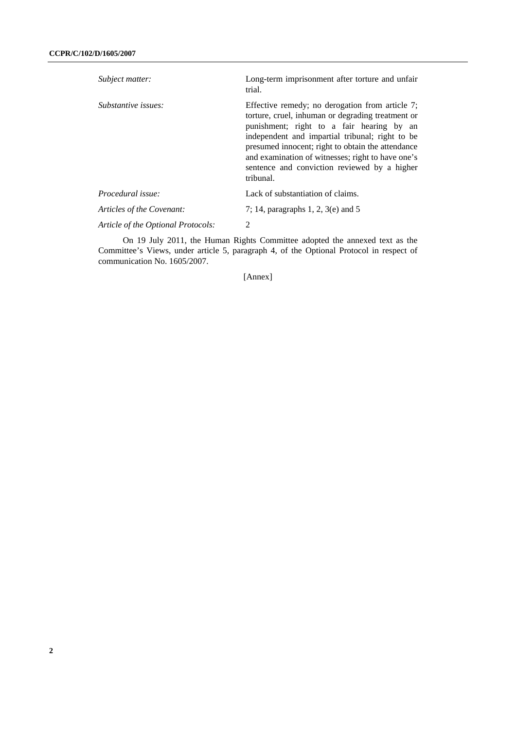| Subject matter:                    | Long-term imprisonment after torture and unfair<br>trial.                                                                                                                                                                                                                                                                                                                   |
|------------------------------------|-----------------------------------------------------------------------------------------------------------------------------------------------------------------------------------------------------------------------------------------------------------------------------------------------------------------------------------------------------------------------------|
| Substantive issues:                | Effective remedy; no derogation from article 7;<br>torture, cruel, inhuman or degrading treatment or<br>punishment; right to a fair hearing by an<br>independent and impartial tribunal; right to be<br>presumed innocent; right to obtain the attendance<br>and examination of witnesses; right to have one's<br>sentence and conviction reviewed by a higher<br>tribunal. |
| <i>Procedural issue:</i>           | Lack of substantiation of claims.                                                                                                                                                                                                                                                                                                                                           |
| Articles of the Covenant:          | 7; 14, paragraphs 1, 2, 3(e) and 5                                                                                                                                                                                                                                                                                                                                          |
| Article of the Optional Protocols: | 2                                                                                                                                                                                                                                                                                                                                                                           |

 On 19 July 2011, the Human Rights Committee adopted the annexed text as the Committee's Views, under article 5, paragraph 4, of the Optional Protocol in respect of communication No. 1605/2007.

[Annex]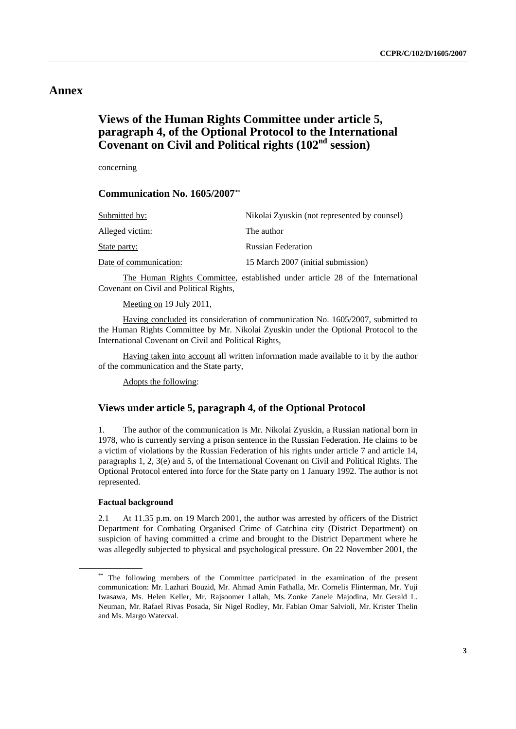# **Annex**

# **Views of the Human Rights Committee under article 5, paragraph 4, of the Optional Protocol to the International Covenant on Civil and Political rights (102nd session)**

concerning

# **Communication No. 1605/2007[\\*\\*](#page-2-0)**

| Submitted by:          | Nikolai Zyuskin (not represented by counsel) |
|------------------------|----------------------------------------------|
| Alleged victim:        | The author                                   |
| State party:           | <b>Russian Federation</b>                    |
| Date of communication: | 15 March 2007 (initial submission)           |

The Human Rights Committee, established under article 28 of the International Covenant on Civil and Political Rights,

Meeting on 19 July 2011,

Having concluded its consideration of communication No. 1605/2007, submitted to the Human Rights Committee by Mr. Nikolai Zyuskin under the Optional Protocol to the International Covenant on Civil and Political Rights,

Having taken into account all written information made available to it by the author of the communication and the State party,

Adopts the following:

# **Views under article 5, paragraph 4, of the Optional Protocol**

1. The author of the communication is Mr. Nikolai Zyuskin, a Russian national born in 1978, who is currently serving a prison sentence in the Russian Federation. He claims to be a victim of violations by the Russian Federation of his rights under article 7 and article 14, paragraphs 1, 2, 3(e) and 5, of the International Covenant on Civil and Political Rights. The Optional Protocol entered into force for the State party on 1 January 1992. The author is not represented.

### **Factual background**

2.1 At 11.35 p.m. on 19 March 2001, the author was arrested by officers of the District Department for Combating Organised Crime of Gatchina city (District Department) on suspicion of having committed a crime and brought to the District Department where he was allegedly subjected to physical and psychological pressure. On 22 November 2001, the

<span id="page-2-0"></span><sup>\*\*</sup> The following members of the Committee participated in the examination of the present communication: Mr. Lazhari Bouzid, Mr. Ahmad Amin Fathalla, Mr. Cornelis Flinterman, Mr. Yuji Iwasawa, Ms. Helen Keller, Mr. Rajsoomer Lallah, Ms. Zonke Zanele Majodina, Mr. Gerald L. Neuman, Mr. Rafael Rivas Posada, Sir Nigel Rodley, Mr. Fabian Omar Salvioli, Mr. Krister Thelin and Ms. Margo Waterval.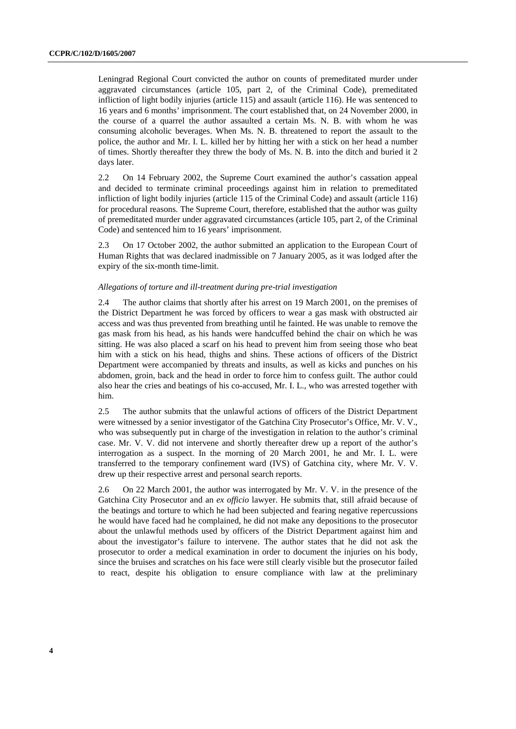Leningrad Regional Court convicted the author on counts of premeditated murder under aggravated circumstances (article 105, part 2, of the Criminal Code), premeditated infliction of light bodily injuries (article 115) and assault (article 116). He was sentenced to 16 years and 6 months' imprisonment. The court established that, on 24 November 2000, in the course of a quarrel the author assaulted a certain Ms. N. B. with whom he was consuming alcoholic beverages. When Ms. N. B. threatened to report the assault to the police, the author and Mr. I. L. killed her by hitting her with a stick on her head a number of times. Shortly thereafter they threw the body of Ms. N. B. into the ditch and buried it 2 days later.

2.2 On 14 February 2002, the Supreme Court examined the author's cassation appeal and decided to terminate criminal proceedings against him in relation to premeditated infliction of light bodily injuries (article 115 of the Criminal Code) and assault (article 116) for procedural reasons. The Supreme Court, therefore, established that the author was guilty of premeditated murder under aggravated circumstances (article 105, part 2, of the Criminal Code) and sentenced him to 16 years' imprisonment.

2.3 On 17 October 2002, the author submitted an application to the European Court of Human Rights that was declared inadmissible on 7 January 2005, as it was lodged after the expiry of the six-month time-limit.

#### *Allegations of torture and ill-treatment during pre-trial investigation*

2.4 The author claims that shortly after his arrest on 19 March 2001, on the premises of the District Department he was forced by officers to wear a gas mask with obstructed air access and was thus prevented from breathing until he fainted. He was unable to remove the gas mask from his head, as his hands were handcuffed behind the chair on which he was sitting. He was also placed a scarf on his head to prevent him from seeing those who beat him with a stick on his head, thighs and shins. These actions of officers of the District Department were accompanied by threats and insults, as well as kicks and punches on his abdomen, groin, back and the head in order to force him to confess guilt. The author could also hear the cries and beatings of his co-accused, Mr. I. L., who was arrested together with him.

2.5 The author submits that the unlawful actions of officers of the District Department were witnessed by a senior investigator of the Gatchina City Prosecutor's Office, Mr. V. V., who was subsequently put in charge of the investigation in relation to the author's criminal case. Mr. V. V. did not intervene and shortly thereafter drew up a report of the author's interrogation as a suspect. In the morning of 20 March 2001, he and Mr. I. L. were transferred to the temporary confinement ward (IVS) of Gatchina city, where Mr. V. V. drew up their respective arrest and personal search reports.

2.6 On 22 March 2001, the author was interrogated by Mr. V. V. in the presence of the Gatchina City Prosecutor and an *ex officio* lawyer. He submits that, still afraid because of the beatings and torture to which he had been subjected and fearing negative repercussions he would have faced had he complained, he did not make any depositions to the prosecutor about the unlawful methods used by officers of the District Department against him and about the investigator's failure to intervene. The author states that he did not ask the prosecutor to order a medical examination in order to document the injuries on his body, since the bruises and scratches on his face were still clearly visible but the prosecutor failed to react, despite his obligation to ensure compliance with law at the preliminary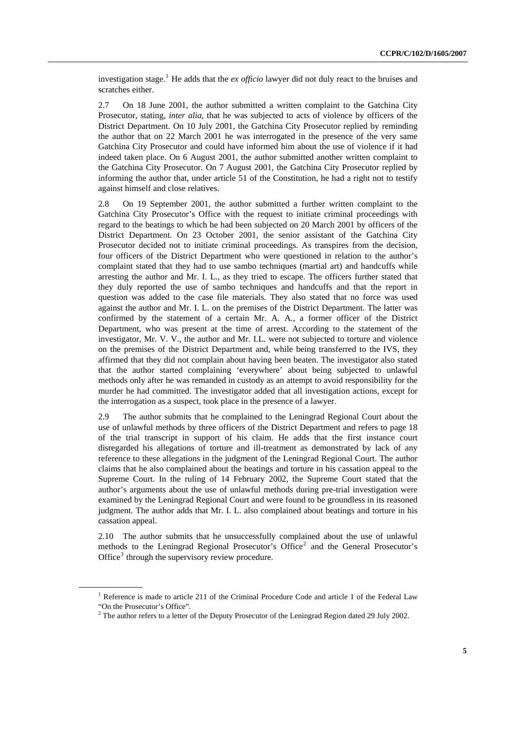investigation stage.[1](#page-4-0) He adds that the *ex officio* lawyer did not duly react to the bruises and scratches either.

2.7 On 18 June 2001, the author submitted a written complaint to the Gatchina City Prosecutor, stating, *inter alia*, that he was subjected to acts of violence by officers of the District Department. On 10 July 2001, the Gatchina City Prosecutor replied by reminding the author that on 22 March 2001 he was interrogated in the presence of the very same Gatchina City Prosecutor and could have informed him about the use of violence if it had indeed taken place. On 6 August 2001, the author submitted another written complaint to the Gatchina City Prosecutor. On 7 August 2001, the Gatchina City Prosecutor replied by informing the author that, under article 51 of the Constitution, he had a right not to testify against himself and close relatives.

2.8 On 19 September 2001, the author submitted a further written complaint to the Gatchina City Prosecutor's Office with the request to initiate criminal proceedings with regard to the beatings to which he had been subjected on 20 March 2001 by officers of the District Department. On 23 October 2001, the senior assistant of the Gatchina City Prosecutor decided not to initiate criminal proceedings. As transpires from the decision, four officers of the District Department who were questioned in relation to the author's complaint stated that they had to use sambo techniques (martial art) and handcuffs while arresting the author and Mr. I. L., as they tried to escape. The officers further stated that they duly reported the use of sambo techniques and handcuffs and that the report in question was added to the case file materials. They also stated that no force was used against the author and Mr. I. L. on the premises of the District Department. The latter was confirmed by the statement of a certain Mr. A. A., a former officer of the District Department, who was present at the time of arrest. According to the statement of the investigator, Mr. V. V., the author and Mr. I.L. were not subjected to torture and violence on the premises of the District Department and, while being transferred to the IVS, they affirmed that they did not complain about having been beaten. The investigator also stated that the author started complaining 'everywhere' about being subjected to unlawful methods only after he was remanded in custody as an attempt to avoid responsibility for the murder he had committed. The investigator added that all investigation actions, except for the interrogation as a suspect, took place in the presence of a lawyer.

2.9 The author submits that he complained to the Leningrad Regional Court about the use of unlawful methods by three officers of the District Department and refers to page 18 of the trial transcript in support of his claim. He adds that the first instance court disregarded his allegations of torture and ill-treatment as demonstrated by lack of any reference to these allegations in the judgment of the Leningrad Regional Court. The author claims that he also complained about the beatings and torture in his cassation appeal to the Supreme Court. In the ruling of 14 February 2002, the Supreme Court stated that the author's arguments about the use of unlawful methods during pre-trial investigation were examined by the Leningrad Regional Court and were found to be groundless in its reasoned judgment. The author adds that Mr. I. L. also complained about beatings and torture in his cassation appeal.

2.10 The author submits that he unsuccessfully complained about the use of unlawful methods to the Leningrad Regional Prosecutor's Office<sup>[2](#page-4-1)</sup> and the General Prosecutor's Office<sup>[3](#page-4-2)</sup> through the supervisory review procedure.

<span id="page-4-2"></span><span id="page-4-0"></span><sup>&</sup>lt;sup>1</sup> Reference is made to article 211 of the Criminal Procedure Code and article 1 of the Federal Law "On the Prosecutor's Office".

<span id="page-4-1"></span><sup>&</sup>lt;sup>2</sup> The author refers to a letter of the Deputy Prosecutor of the Leningrad Region dated 29 July 2002.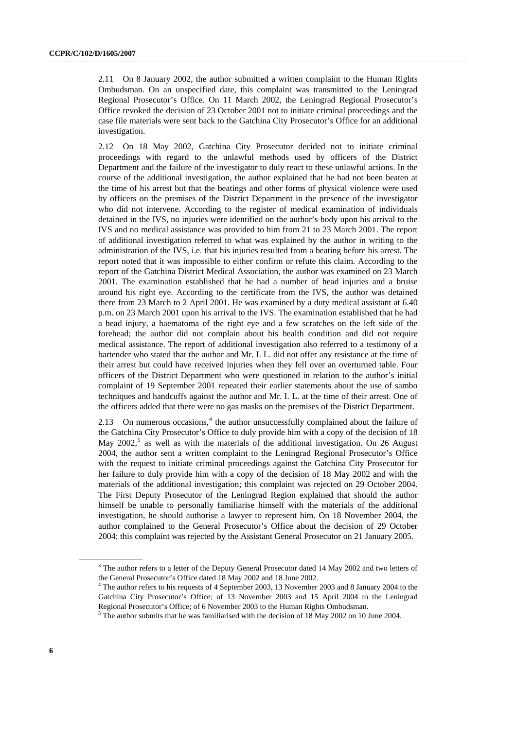2.11 On 8 January 2002, the author submitted a written complaint to the Human Rights Ombudsman. On an unspecified date, this complaint was transmitted to the Leningrad Regional Prosecutor's Office. On 11 March 2002, the Leningrad Regional Prosecutor's Office revoked the decision of 23 October 2001 not to initiate criminal proceedings and the case file materials were sent back to the Gatchina City Prosecutor's Office for an additional investigation.

2.12 On 18 May 2002, Gatchina City Prosecutor decided not to initiate criminal proceedings with regard to the unlawful methods used by officers of the District Department and the failure of the investigator to duly react to these unlawful actions. In the course of the additional investigation, the author explained that he had not been beaten at the time of his arrest but that the beatings and other forms of physical violence were used by officers on the premises of the District Department in the presence of the investigator who did not intervene. According to the register of medical examination of individuals detained in the IVS, no injuries were identified on the author's body upon his arrival to the IVS and no medical assistance was provided to him from 21 to 23 March 2001. The report of additional investigation referred to what was explained by the author in writing to the administration of the IVS, i.e. that his injuries resulted from a beating before his arrest. The report noted that it was impossible to either confirm or refute this claim. According to the report of the Gatchina District Medical Association, the author was examined on 23 March 2001. The examination established that he had a number of head injuries and a bruise around his right eye. According to the certificate from the IVS, the author was detained there from 23 March to 2 April 2001. He was examined by a duty medical assistant at 6.40 p.m. on 23 March 2001 upon his arrival to the IVS. The examination established that he had a head injury, a haematoma of the right eye and a few scratches on the left side of the forehead; the author did not complain about his health condition and did not require medical assistance. The report of additional investigation also referred to a testimony of a bartender who stated that the author and Mr. I. L. did not offer any resistance at the time of their arrest but could have received injuries when they fell over an overturned table. Four officers of the District Department who were questioned in relation to the author's initial complaint of 19 September 2001 repeated their earlier statements about the use of sambo techniques and handcuffs against the author and Mr. I. L. at the time of their arrest. One of the officers added that there were no gas masks on the premises of the District Department.

2.13 On numerous occasions, $4$  the author unsuccessfully complained about the failure of the Gatchina City Prosecutor's Office to duly provide him with a copy of the decision of 18 May  $2002$ ,<sup>[5](#page-5-1)</sup> as well as with the materials of the additional investigation. On 26 August 2004, the author sent a written complaint to the Leningrad Regional Prosecutor's Office with the request to initiate criminal proceedings against the Gatchina City Prosecutor for her failure to duly provide him with a copy of the decision of 18 May 2002 and with the materials of the additional investigation; this complaint was rejected on 29 October 2004. The First Deputy Prosecutor of the Leningrad Region explained that should the author himself be unable to personally familiarise himself with the materials of the additional investigation, he should authorise a lawyer to represent him. On 18 November 2004, the author complained to the General Prosecutor's Office about the decision of 29 October 2004; this complaint was rejected by the Assistant General Prosecutor on 21 January 2005.

 $3$  The author refers to a letter of the Deputy General Prosecutor dated 14 May 2002 and two letters of the General Prosecutor's Office dated 18 May 2002 and 18 June 2002. 4

<span id="page-5-0"></span>The author refers to his requests of 4 September 2003, 13 November 2003 and 8 January 2004 to the Gatchina City Prosecutor's Office; of 13 November 2003 and 15 April 2004 to the Leningrad Regional Prosecutor's Office; of 6 November 2003 to the Human Rights Ombudsman. 5

<span id="page-5-1"></span> $5$  The author submits that he was familiarised with the decision of 18 May 2002 on 10 June 2004.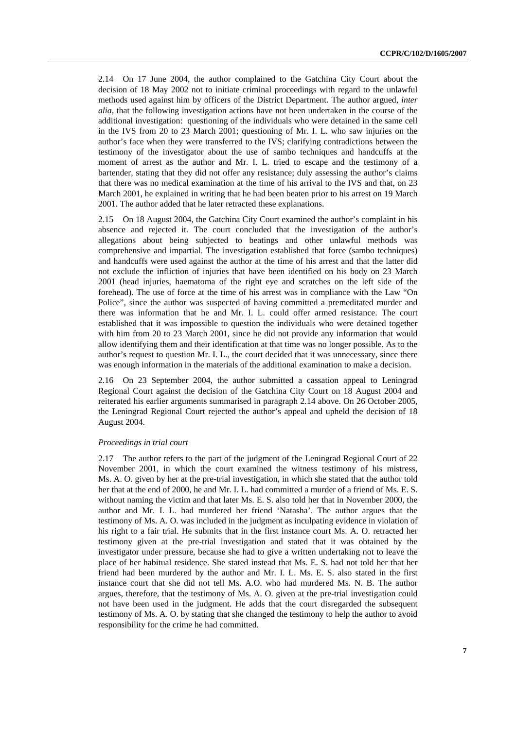2.14 On 17 June 2004, the author complained to the Gatchina City Court about the decision of 18 May 2002 not to initiate criminal proceedings with regard to the unlawful methods used against him by officers of the District Department. The author argued, *inter alia*, that the following investigation actions have not been undertaken in the course of the additional investigation: questioning of the individuals who were detained in the same cell in the IVS from 20 to 23 March 2001; questioning of Mr. I. L. who saw injuries on the author's face when they were transferred to the IVS; clarifying contradictions between the testimony of the investigator about the use of sambo techniques and handcuffs at the moment of arrest as the author and Mr. I. L. tried to escape and the testimony of a bartender, stating that they did not offer any resistance; duly assessing the author's claims that there was no medical examination at the time of his arrival to the IVS and that, on 23 March 2001, he explained in writing that he had been beaten prior to his arrest on 19 March 2001. The author added that he later retracted these explanations.

2.15 On 18 August 2004, the Gatchina City Court examined the author's complaint in his absence and rejected it. The court concluded that the investigation of the author's allegations about being subjected to beatings and other unlawful methods was comprehensive and impartial. The investigation established that force (sambo techniques) and handcuffs were used against the author at the time of his arrest and that the latter did not exclude the infliction of injuries that have been identified on his body on 23 March 2001 (head injuries, haematoma of the right eye and scratches on the left side of the forehead). The use of force at the time of his arrest was in compliance with the Law "On Police", since the author was suspected of having committed a premeditated murder and there was information that he and Mr. I. L. could offer armed resistance. The court established that it was impossible to question the individuals who were detained together with him from 20 to 23 March 2001, since he did not provide any information that would allow identifying them and their identification at that time was no longer possible. As to the author's request to question Mr. I. L., the court decided that it was unnecessary, since there was enough information in the materials of the additional examination to make a decision.

2.16 On 23 September 2004, the author submitted a cassation appeal to Leningrad Regional Court against the decision of the Gatchina City Court on 18 August 2004 and reiterated his earlier arguments summarised in paragraph 2.14 above. On 26 October 2005, the Leningrad Regional Court rejected the author's appeal and upheld the decision of 18 August 2004.

# *Proceedings in trial court*

2.17 The author refers to the part of the judgment of the Leningrad Regional Court of 22 November 2001, in which the court examined the witness testimony of his mistress, Ms. A. O. given by her at the pre-trial investigation, in which she stated that the author told her that at the end of 2000, he and Mr. I. L. had committed a murder of a friend of Ms. E. S. without naming the victim and that later Ms. E. S. also told her that in November 2000, the author and Mr. I. L. had murdered her friend 'Natasha'. The author argues that the testimony of Ms. A. O. was included in the judgment as inculpating evidence in violation of his right to a fair trial. He submits that in the first instance court Ms. A. O. retracted her testimony given at the pre-trial investigation and stated that it was obtained by the investigator under pressure, because she had to give a written undertaking not to leave the place of her habitual residence. She stated instead that Ms. E. S. had not told her that her friend had been murdered by the author and Mr. I. L. Ms. E. S. also stated in the first instance court that she did not tell Ms. A.O. who had murdered Ms. N. B. The author argues, therefore, that the testimony of Ms. A. O. given at the pre-trial investigation could not have been used in the judgment. He adds that the court disregarded the subsequent testimony of Ms. A. O. by stating that she changed the testimony to help the author to avoid responsibility for the crime he had committed.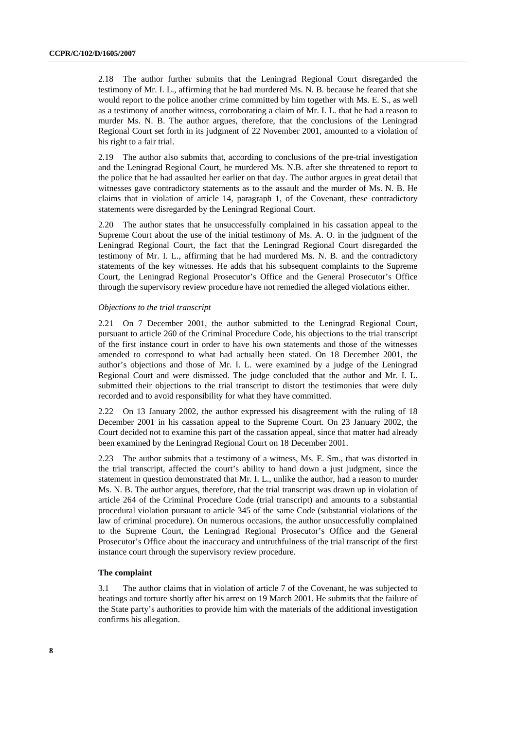2.18 The author further submits that the Leningrad Regional Court disregarded the testimony of Mr. I. L., affirming that he had murdered Ms. N. B. because he feared that she would report to the police another crime committed by him together with Ms. E. S., as well as a testimony of another witness, corroborating a claim of Mr. I. L. that he had a reason to murder Ms. N. B. The author argues, therefore, that the conclusions of the Leningrad Regional Court set forth in its judgment of 22 November 2001, amounted to a violation of his right to a fair trial.

2.19 The author also submits that, according to conclusions of the pre-trial investigation and the Leningrad Regional Court, he murdered Ms. N.B. after she threatened to report to the police that he had assaulted her earlier on that day. The author argues in great detail that witnesses gave contradictory statements as to the assault and the murder of Ms. N. B. He claims that in violation of article 14, paragraph 1, of the Covenant, these contradictory statements were disregarded by the Leningrad Regional Court.

2.20 The author states that he unsuccessfully complained in his cassation appeal to the Supreme Court about the use of the initial testimony of Ms. A. O. in the judgment of the Leningrad Regional Court, the fact that the Leningrad Regional Court disregarded the testimony of Mr. I. L., affirming that he had murdered Ms. N. B. and the contradictory statements of the key witnesses. He adds that his subsequent complaints to the Supreme Court, the Leningrad Regional Prosecutor's Office and the General Prosecutor's Office through the supervisory review procedure have not remedied the alleged violations either.

### *Objections to the trial transcript*

2.21 On 7 December 2001, the author submitted to the Leningrad Regional Court, pursuant to article 260 of the Criminal Procedure Code, his objections to the trial transcript of the first instance court in order to have his own statements and those of the witnesses amended to correspond to what had actually been stated. On 18 December 2001, the author's objections and those of Mr. I. L. were examined by a judge of the Leningrad Regional Court and were dismissed. The judge concluded that the author and Mr. I. L. submitted their objections to the trial transcript to distort the testimonies that were duly recorded and to avoid responsibility for what they have committed.

2.22 On 13 January 2002, the author expressed his disagreement with the ruling of 18 December 2001 in his cassation appeal to the Supreme Court. On 23 January 2002, the Court decided not to examine this part of the cassation appeal, since that matter had already been examined by the Leningrad Regional Court on 18 December 2001.

2.23 The author submits that a testimony of a witness, Ms. E. Sm., that was distorted in the trial transcript, affected the court's ability to hand down a just judgment, since the statement in question demonstrated that Mr. I. L., unlike the author, had a reason to murder Ms. N. B. The author argues, therefore, that the trial transcript was drawn up in violation of article 264 of the Criminal Procedure Code (trial transcript) and amounts to a substantial procedural violation pursuant to article 345 of the same Code (substantial violations of the law of criminal procedure). On numerous occasions, the author unsuccessfully complained to the Supreme Court, the Leningrad Regional Prosecutor's Office and the General Prosecutor's Office about the inaccuracy and untruthfulness of the trial transcript of the first instance court through the supervisory review procedure.

# **The complaint**

3.1 The author claims that in violation of article 7 of the Covenant, he was subjected to beatings and torture shortly after his arrest on 19 March 2001. He submits that the failure of the State party's authorities to provide him with the materials of the additional investigation confirms his allegation.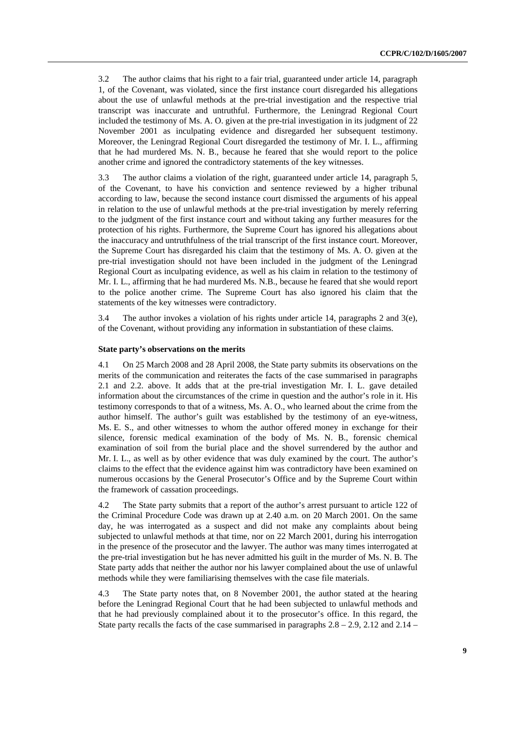3.2 The author claims that his right to a fair trial, guaranteed under article 14, paragraph 1, of the Covenant, was violated, since the first instance court disregarded his allegations about the use of unlawful methods at the pre-trial investigation and the respective trial transcript was inaccurate and untruthful. Furthermore, the Leningrad Regional Court included the testimony of Ms. A. O. given at the pre-trial investigation in its judgment of 22 November 2001 as inculpating evidence and disregarded her subsequent testimony. Moreover, the Leningrad Regional Court disregarded the testimony of Mr. I. L., affirming that he had murdered Ms. N. B., because he feared that she would report to the police another crime and ignored the contradictory statements of the key witnesses.

3.3 The author claims a violation of the right, guaranteed under article 14, paragraph 5, of the Covenant, to have his conviction and sentence reviewed by a higher tribunal according to law, because the second instance court dismissed the arguments of his appeal in relation to the use of unlawful methods at the pre-trial investigation by merely referring to the judgment of the first instance court and without taking any further measures for the protection of his rights. Furthermore, the Supreme Court has ignored his allegations about the inaccuracy and untruthfulness of the trial transcript of the first instance court. Moreover, the Supreme Court has disregarded his claim that the testimony of Ms. A. O. given at the pre-trial investigation should not have been included in the judgment of the Leningrad Regional Court as inculpating evidence, as well as his claim in relation to the testimony of Mr. I. L., affirming that he had murdered Ms. N.B., because he feared that she would report to the police another crime. The Supreme Court has also ignored his claim that the statements of the key witnesses were contradictory.

3.4 The author invokes a violation of his rights under article 14, paragraphs 2 and 3(e), of the Covenant, without providing any information in substantiation of these claims.

#### **State party's observations on the merits**

4.1 On 25 March 2008 and 28 April 2008, the State party submits its observations on the merits of the communication and reiterates the facts of the case summarised in paragraphs 2.1 and 2.2. above. It adds that at the pre-trial investigation Mr. I. L. gave detailed information about the circumstances of the crime in question and the author's role in it. His testimony corresponds to that of a witness, Ms. A. O., who learned about the crime from the author himself. The author's guilt was established by the testimony of an eye-witness, Ms. E. S., and other witnesses to whom the author offered money in exchange for their silence, forensic medical examination of the body of Ms. N. B., forensic chemical examination of soil from the burial place and the shovel surrendered by the author and Mr. I. L., as well as by other evidence that was duly examined by the court. The author's claims to the effect that the evidence against him was contradictory have been examined on numerous occasions by the General Prosecutor's Office and by the Supreme Court within the framework of cassation proceedings.

4.2 The State party submits that a report of the author's arrest pursuant to article 122 of the Criminal Procedure Code was drawn up at 2.40 a.m. on 20 March 2001. On the same day, he was interrogated as a suspect and did not make any complaints about being subjected to unlawful methods at that time, nor on 22 March 2001, during his interrogation in the presence of the prosecutor and the lawyer. The author was many times interrogated at the pre-trial investigation but he has never admitted his guilt in the murder of Ms. N. B. The State party adds that neither the author nor his lawyer complained about the use of unlawful methods while they were familiarising themselves with the case file materials.

4.3 The State party notes that, on 8 November 2001, the author stated at the hearing before the Leningrad Regional Court that he had been subjected to unlawful methods and that he had previously complained about it to the prosecutor's office. In this regard, the State party recalls the facts of the case summarised in paragraphs  $2.8 - 2.9$ ,  $2.12$  and  $2.14 -$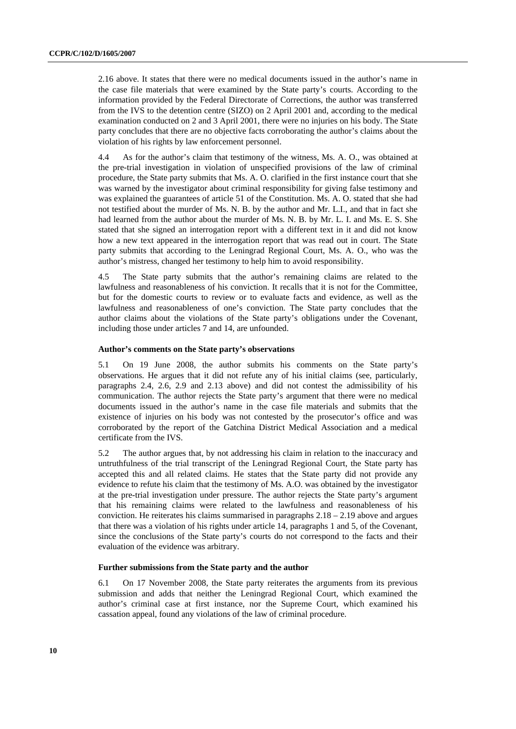2.16 above. It states that there were no medical documents issued in the author's name in the case file materials that were examined by the State party's courts. According to the information provided by the Federal Directorate of Corrections, the author was transferred from the IVS to the detention centre (SIZO) on 2 April 2001 and, according to the medical examination conducted on 2 and 3 April 2001, there were no injuries on his body. The State party concludes that there are no objective facts corroborating the author's claims about the violation of his rights by law enforcement personnel.

4.4 As for the author's claim that testimony of the witness, Ms. A. O., was obtained at the pre-trial investigation in violation of unspecified provisions of the law of criminal procedure, the State party submits that Ms. A. O. clarified in the first instance court that she was warned by the investigator about criminal responsibility for giving false testimony and was explained the guarantees of article 51 of the Constitution. Ms. A. O. stated that she had not testified about the murder of Ms. N. B. by the author and Mr. L.I., and that in fact she had learned from the author about the murder of Ms. N. B. by Mr. L. I. and Ms. E. S. She stated that she signed an interrogation report with a different text in it and did not know how a new text appeared in the interrogation report that was read out in court. The State party submits that according to the Leningrad Regional Court, Ms. A. O., who was the author's mistress, changed her testimony to help him to avoid responsibility.

4.5 The State party submits that the author's remaining claims are related to the lawfulness and reasonableness of his conviction. It recalls that it is not for the Committee, but for the domestic courts to review or to evaluate facts and evidence, as well as the lawfulness and reasonableness of one's conviction. The State party concludes that the author claims about the violations of the State party's obligations under the Covenant, including those under articles 7 and 14, are unfounded.

### **Author's comments on the State party's observations**

5.1 On 19 June 2008, the author submits his comments on the State party's observations. He argues that it did not refute any of his initial claims (see, particularly, paragraphs 2.4, 2.6, 2.9 and 2.13 above) and did not contest the admissibility of his communication. The author rejects the State party's argument that there were no medical documents issued in the author's name in the case file materials and submits that the existence of injuries on his body was not contested by the prosecutor's office and was corroborated by the report of the Gatchina District Medical Association and a medical certificate from the IVS.

5.2 The author argues that, by not addressing his claim in relation to the inaccuracy and untruthfulness of the trial transcript of the Leningrad Regional Court, the State party has accepted this and all related claims. He states that the State party did not provide any evidence to refute his claim that the testimony of Ms. A.O. was obtained by the investigator at the pre-trial investigation under pressure. The author rejects the State party's argument that his remaining claims were related to the lawfulness and reasonableness of his conviction. He reiterates his claims summarised in paragraphs 2.18 – 2.19 above and argues that there was a violation of his rights under article 14, paragraphs 1 and 5, of the Covenant, since the conclusions of the State party's courts do not correspond to the facts and their evaluation of the evidence was arbitrary.

## **Further submissions from the State party and the author**

6.1 On 17 November 2008, the State party reiterates the arguments from its previous submission and adds that neither the Leningrad Regional Court, which examined the author's criminal case at first instance, nor the Supreme Court, which examined his cassation appeal, found any violations of the law of criminal procedure.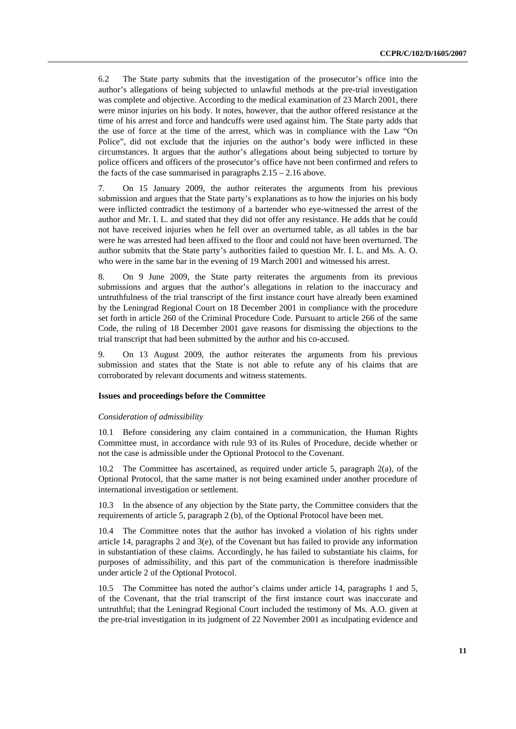6.2 The State party submits that the investigation of the prosecutor's office into the author's allegations of being subjected to unlawful methods at the pre-trial investigation was complete and objective. According to the medical examination of 23 March 2001, there were minor injuries on his body. It notes, however, that the author offered resistance at the time of his arrest and force and handcuffs were used against him. The State party adds that the use of force at the time of the arrest, which was in compliance with the Law "On Police", did not exclude that the injuries on the author's body were inflicted in these circumstances. It argues that the author's allegations about being subjected to torture by police officers and officers of the prosecutor's office have not been confirmed and refers to the facts of the case summarised in paragraphs  $2.15 - 2.16$  above.

7. On 15 January 2009, the author reiterates the arguments from his previous submission and argues that the State party's explanations as to how the injuries on his body were inflicted contradict the testimony of a bartender who eye-witnessed the arrest of the author and Mr. I. L. and stated that they did not offer any resistance. He adds that he could not have received injuries when he fell over an overturned table, as all tables in the bar were he was arrested had been affixed to the floor and could not have been overturned. The author submits that the State party's authorities failed to question Mr. I. L. and Ms. A. O. who were in the same bar in the evening of 19 March 2001 and witnessed his arrest.

8. On 9 June 2009, the State party reiterates the arguments from its previous submissions and argues that the author's allegations in relation to the inaccuracy and untruthfulness of the trial transcript of the first instance court have already been examined by the Leningrad Regional Court on 18 December 2001 in compliance with the procedure set forth in article 260 of the Criminal Procedure Code. Pursuant to article 266 of the same Code, the ruling of 18 December 2001 gave reasons for dismissing the objections to the trial transcript that had been submitted by the author and his co-accused.

9. On 13 August 2009, the author reiterates the arguments from his previous submission and states that the State is not able to refute any of his claims that are corroborated by relevant documents and witness statements.

### **Issues and proceedings before the Committee**

#### *Consideration of admissibility*

10.1 Before considering any claim contained in a communication, the Human Rights Committee must, in accordance with rule 93 of its Rules of Procedure, decide whether or not the case is admissible under the Optional Protocol to the Covenant.

10.2 The Committee has ascertained, as required under article 5, paragraph 2(a), of the Optional Protocol, that the same matter is not being examined under another procedure of international investigation or settlement.

10.3 In the absence of any objection by the State party, the Committee considers that the requirements of article 5, paragraph 2 (b), of the Optional Protocol have been met.

10.4 The Committee notes that the author has invoked a violation of his rights under article 14, paragraphs 2 and  $3(e)$ , of the Covenant but has failed to provide any information in substantiation of these claims. Accordingly, he has failed to substantiate his claims, for purposes of admissibility, and this part of the communication is therefore inadmissible under article 2 of the Optional Protocol.

10.5 The Committee has noted the author's claims under article 14, paragraphs 1 and 5, of the Covenant, that the trial transcript of the first instance court was inaccurate and untruthful; that the Leningrad Regional Court included the testimony of Ms. A.O. given at the pre-trial investigation in its judgment of 22 November 2001 as inculpating evidence and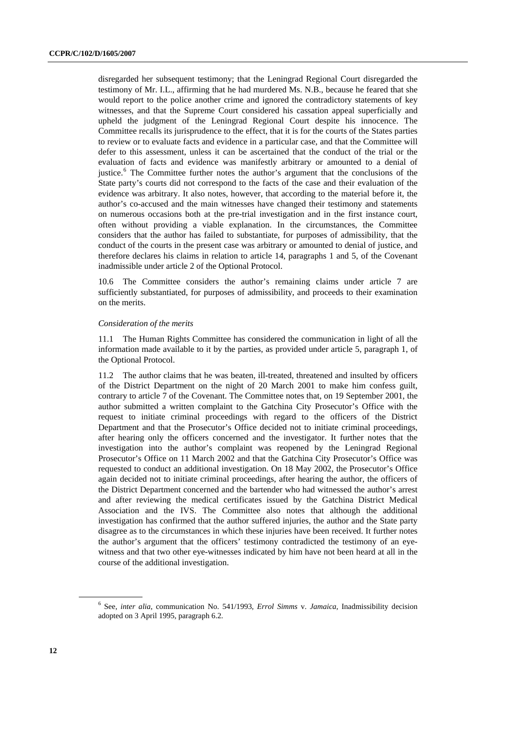disregarded her subsequent testimony; that the Leningrad Regional Court disregarded the testimony of Mr. I.L., affirming that he had murdered Ms. N.B., because he feared that she would report to the police another crime and ignored the contradictory statements of key witnesses, and that the Supreme Court considered his cassation appeal superficially and upheld the judgment of the Leningrad Regional Court despite his innocence. The Committee recalls its jurisprudence to the effect, that it is for the courts of the States parties to review or to evaluate facts and evidence in a particular case, and that the Committee will defer to this assessment, unless it can be ascertained that the conduct of the trial or the evaluation of facts and evidence was manifestly arbitrary or amounted to a denial of justice.<sup>[6](#page-11-0)</sup> The Committee further notes the author's argument that the conclusions of the State party's courts did not correspond to the facts of the case and their evaluation of the evidence was arbitrary. It also notes, however, that according to the material before it, the author's co-accused and the main witnesses have changed their testimony and statements on numerous occasions both at the pre-trial investigation and in the first instance court, often without providing a viable explanation. In the circumstances, the Committee considers that the author has failed to substantiate, for purposes of admissibility, that the conduct of the courts in the present case was arbitrary or amounted to denial of justice, and therefore declares his claims in relation to article 14, paragraphs 1 and 5, of the Covenant inadmissible under article 2 of the Optional Protocol.

10.6 The Committee considers the author's remaining claims under article 7 are sufficiently substantiated, for purposes of admissibility, and proceeds to their examination on the merits.

#### *Consideration of the merits*

11.1 The Human Rights Committee has considered the communication in light of all the information made available to it by the parties, as provided under article 5, paragraph 1, of the Optional Protocol.

11.2 The author claims that he was beaten, ill-treated, threatened and insulted by officers of the District Department on the night of 20 March 2001 to make him confess guilt, contrary to article 7 of the Covenant. The Committee notes that, on 19 September 2001, the author submitted a written complaint to the Gatchina City Prosecutor's Office with the request to initiate criminal proceedings with regard to the officers of the District Department and that the Prosecutor's Office decided not to initiate criminal proceedings, after hearing only the officers concerned and the investigator. It further notes that the investigation into the author's complaint was reopened by the Leningrad Regional Prosecutor's Office on 11 March 2002 and that the Gatchina City Prosecutor's Office was requested to conduct an additional investigation. On 18 May 2002, the Prosecutor's Office again decided not to initiate criminal proceedings, after hearing the author, the officers of the District Department concerned and the bartender who had witnessed the author's arrest and after reviewing the medical certificates issued by the Gatchina District Medical Association and the IVS. The Committee also notes that although the additional investigation has confirmed that the author suffered injuries, the author and the State party disagree as to the circumstances in which these injuries have been received. It further notes the author's argument that the officers' testimony contradicted the testimony of an eyewitness and that two other eye-witnesses indicated by him have not been heard at all in the course of the additional investigation.

<span id="page-11-0"></span><sup>6</sup> See, *inter alia*, communication No. 541/1993, *Errol Simms* v. *Jamaica*, Inadmissibility decision adopted on 3 April 1995, paragraph 6.2.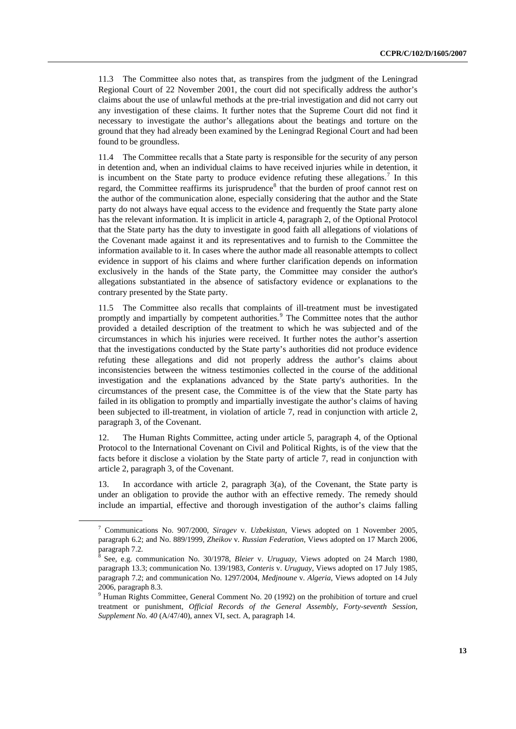11.3 The Committee also notes that, as transpires from the judgment of the Leningrad Regional Court of 22 November 2001, the court did not specifically address the author's claims about the use of unlawful methods at the pre-trial investigation and did not carry out any investigation of these claims. It further notes that the Supreme Court did not find it necessary to investigate the author's allegations about the beatings and torture on the ground that they had already been examined by the Leningrad Regional Court and had been found to be groundless.

11.4 The Committee recalls that a State party is responsible for the security of any person in detention and, when an individual claims to have received injuries while in detention, it is incumbent on the State party to produce evidence refuting these allegations.<sup>[7](#page-12-0)</sup> In this regard, the Committee reaffirms its jurisprudence<sup>[8](#page-12-1)</sup> that the burden of proof cannot rest on the author of the communication alone, especially considering that the author and the State party do not always have equal access to the evidence and frequently the State party alone has the relevant information. It is implicit in article 4, paragraph 2, of the Optional Protocol that the State party has the duty to investigate in good faith all allegations of violations of the Covenant made against it and its representatives and to furnish to the Committee the information available to it. In cases where the author made all reasonable attempts to collect evidence in support of his claims and where further clarification depends on information exclusively in the hands of the State party, the Committee may consider the author's allegations substantiated in the absence of satisfactory evidence or explanations to the contrary presented by the State party.

11.5 The Committee also recalls that complaints of ill-treatment must be investigated promptly and impartially by competent authorities.<sup>[9](#page-12-2)</sup> The Committee notes that the author provided a detailed description of the treatment to which he was subjected and of the circumstances in which his injuries were received. It further notes the author's assertion that the investigations conducted by the State party's authorities did not produce evidence refuting these allegations and did not properly address the author's claims about inconsistencies between the witness testimonies collected in the course of the additional investigation and the explanations advanced by the State party's authorities. In the circumstances of the present case, the Committee is of the view that the State party has failed in its obligation to promptly and impartially investigate the author's claims of having been subjected to ill-treatment, in violation of article 7, read in conjunction with article 2, paragraph 3, of the Covenant.

12. The Human Rights Committee, acting under article 5, paragraph 4, of the Optional Protocol to the International Covenant on Civil and Political Rights, is of the view that the facts before it disclose a violation by the State party of article 7, read in conjunction with article 2, paragraph 3, of the Covenant.

13. In accordance with article 2, paragraph 3(a), of the Covenant, the State party is under an obligation to provide the author with an effective remedy. The remedy should include an impartial, effective and thorough investigation of the author's claims falling

<span id="page-12-0"></span><sup>7</sup> Communications No. 907/2000, *Siragev* v. *Uzbekistan*, Views adopted on 1 November 2005, paragraph 6.2; and No. 889/1999, *Zheikov* v*. Russian Federation*, Views adopted on 17 March 2006,  $\frac{6.44}{9}$  paragraph 7.2.

<span id="page-12-1"></span><sup>8</sup> See, e.g. communication No. 30/1978, *Bleier* v. *Uruguay*, Views adopted on 24 March 1980, paragraph 13.3; communication No. 139/1983, *Conteris* v. *Uruguay*, Views adopted on 17 July 1985, paragraph 7.2; and communication No. 1297/2004, *Medjnoune* v*. Algeria*, Views adopted on 14 July 2006, paragraph 8.3.

<span id="page-12-2"></span><sup>&</sup>lt;sup>9</sup> Human Rights Committee, General Comment No. 20 (1992) on the prohibition of torture and cruel treatment or punishment, *Official Records of the General Assembly, Forty-seventh Session, Supplement No. 40* (A/47/40), annex VI, sect. A, paragraph 14.